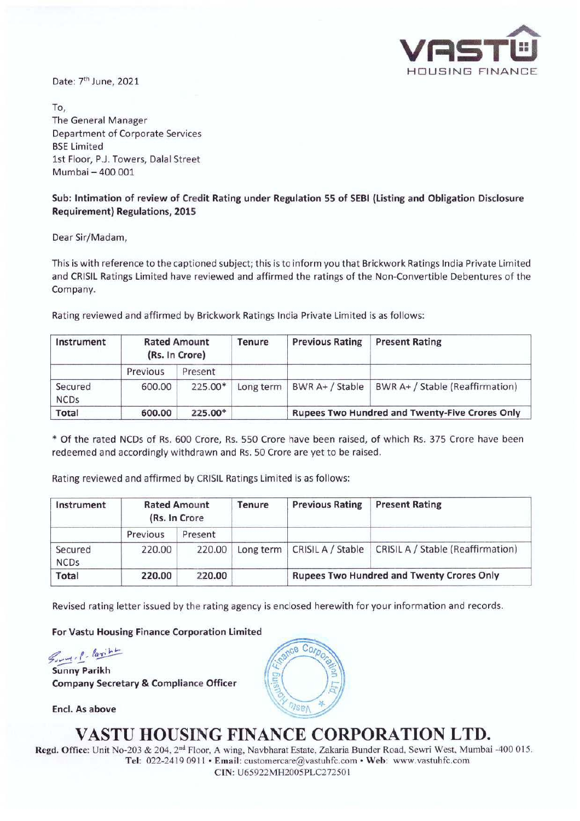

Date: 7<sup>th</sup> June, 2021

To, The General Manager Department of Corporate Services BSE Limited 1st Floor, P.J. Towers, Dalal Street Mumbai - 400 001

#### **Sub: Intimation of review of Credit Rating under Regulation 55 of SEBI (Listing and Obligation Disclosure Requirement) Regulations, 2015**

Dear Sir/Madam,

This is with reference to the captioned subject; this is to inform you that Brickwork Ratings India Private Limited and CRISIL Ratings Limited have reviewed and affirmed the ratings of the Non-Convertible Debentures of the Company.

Rating reviewed and affirmed by Brickwork Ratings India Private Limited is as follows:

| Instrument             | <b>Rated Amount</b><br>(Rs. In Crore) |         | <b>Tenure</b> | <b>Previous Rating</b>                                | <b>Present Rating</b>           |  |
|------------------------|---------------------------------------|---------|---------------|-------------------------------------------------------|---------------------------------|--|
|                        | Previous                              | Present |               |                                                       |                                 |  |
| Secured<br><b>NCDs</b> | 600.00                                | 225.00* | Long term     | BWR A+ / Stable                                       | BWR A+ / Stable (Reaffirmation) |  |
| Total                  | 600.00                                | 225.00* |               | <b>Rupees Two Hundred and Twenty-Five Crores Only</b> |                                 |  |

\* Of the rated NCDs of Rs. 600 Crore, Rs. 550 Crore have been raised, of which Rs. 375 Crore have been redeemed and accordingly withdrawn and Rs. 50 Crore are yet to be raised.

Rating reviewed and affirmed by CRISIL Ratings Limited is as follows:

| Instrument             | <b>Rated Amount</b><br>(Rs. In Crore |         | Tenure    | <b>Previous Rating</b>                           | <b>Present Rating</b>                    |  |
|------------------------|--------------------------------------|---------|-----------|--------------------------------------------------|------------------------------------------|--|
|                        | Previous                             | Present |           |                                                  |                                          |  |
| Secured<br><b>NCDs</b> | 220.00                               | 220.00  | Long term | CRISIL A / Stable                                | <b>CRISIL A / Stable (Reaffirmation)</b> |  |
| Total                  | 220.00                               | 220.00  |           | <b>Rupees Two Hundred and Twenty Crores Only</b> |                                          |  |

Revised rating letter issued by the rating agency is enclosed herewith for your information and records.

**For Vastu Housing Finance Corporation Limited** 

,,:;? *.,... , <sup>f</sup> , la~ "'-':::--* -- **Sunny Parikh** 

**Company Secretary** & **Compliance Officer** 

**Encl. As above** 



## **VASTU HOUSING FINANCE CORPORATION LTD.**

Regd. Office: Unit No-203 & 204, 2<sup>nd</sup> Floor, A wing, Navbharat Estate, Zakaria Bunder Road, Sewri West, Mumbai -400 015. Tel: 022-2419 0911 • Email: customercare@vastuhfc.com • Web: www.vastuhfc.com **CIN:** U65922MH2005PLC27250 I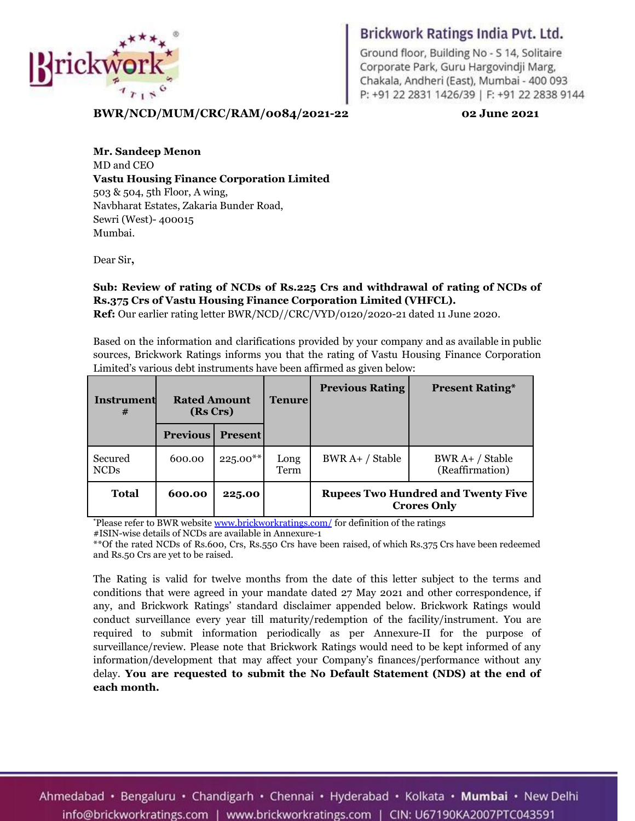

Ground floor, Building No - S 14, Solitaire Corporate Park, Guru Hargovindji Marg, Chakala, Andheri (East), Mumbai- 400 093 P: +91 22 2831 1426/39 | F: +91 22 2838 9144

1

**BWR/NCD/MUM/CRC/RAM/0084/2021-22 02 June 2021**

**Mr. Sandeep Menon** MD and CEO **Vastu Housing Finance Corporation Limited** 503 & 504, 5th Floor, A wing, Navbharat Estates, Zakaria Bunder Road, Sewri (West)- 400015 Mumbai.

Dear Sir**,**

### **Sub: Review of rating of NCDs of Rs.225 Crs and withdrawal of rating of NCDs of Rs.375 Crs of Vastu Housing Finance Corporation Limited (VHFCL).**

**Ref:** Our earlier rating letter BWR/NCD//CRC/VYD/0120/2020-21 dated 11 June 2020.

Based on the information and clarifications provided by your company and as available in public sources, Brickwork Ratings informs you that the rating of Vastu Housing Finance Corporation Limited's various debt instruments have been affirmed as given below:

| Instrument<br>#        | <b>Rated Amount</b><br>(Rs Crs) |                | <b>Tenure</b> | <b>Previous Rating</b>                                          | <b>Present Rating*</b>             |  |
|------------------------|---------------------------------|----------------|---------------|-----------------------------------------------------------------|------------------------------------|--|
|                        | <b>Previous</b>                 | <b>Present</b> |               |                                                                 |                                    |  |
| Secured<br><b>NCDs</b> | 600.00                          | $225.00**$     | Long<br>Term  | BWR A+ / Stable                                                 | $BWR A+/Stable$<br>(Reaffirmation) |  |
| Total                  | 600.00                          | 225.00         |               | <b>Rupees Two Hundred and Twenty Five</b><br><b>Crores Only</b> |                                    |  |

**\***Please refer to BWR website [www.brickworkratings.com/](http://www.brickworkratings.com/) for definition of the ratings

#ISIN-wise details of NCDs are available in Annexure-1

\*\*Of the rated NCDs of Rs.600, Crs, Rs.550 Crs have been raised, of which Rs.375 Crs have been redeemed and Rs.50 Crs are yet to be raised.

The Rating is valid for twelve months from the date of this letter subject to the terms and conditions that were agreed in your mandate dated 27 May 2021 and other correspondence, if any, and Brickwork Ratings' standard disclaimer appended below. Brickwork Ratings would conduct surveillance every year till maturity/redemption of the facility/instrument. You are required to submit information periodically as per Annexure-II for the purpose of surveillance/review. Please note that Brickwork Ratings would need to be kept informed of any information/development that may affect your Company's finances/performance without any delay. **You are requested to submit the No Default Statement (NDS) at the end of each month.**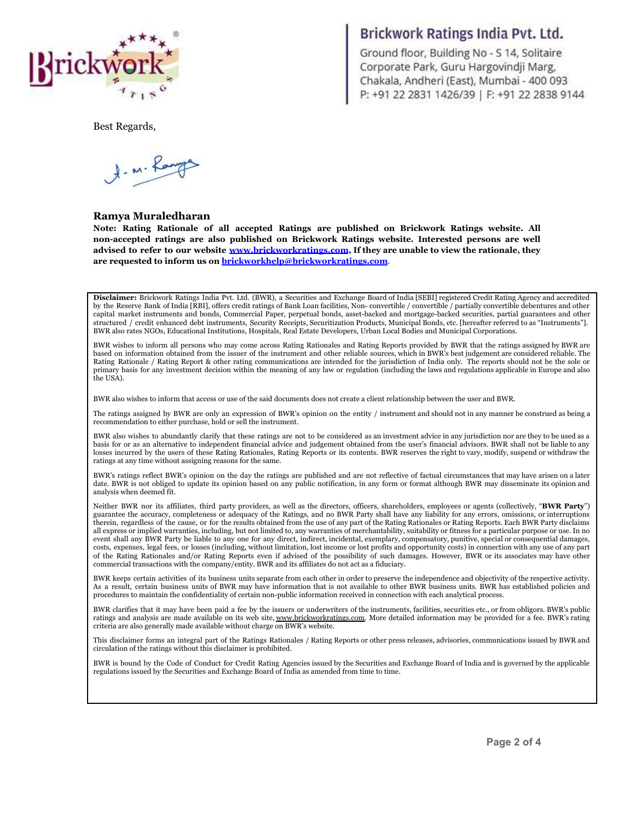

Ground floor, Building No - S 14, Solitaire Corporate Park, Guru Hargovindji Marg, Chakala, Andheri (East), Mumbai- 400 093 P: +91 22 2831 1426/39 | F: +91 22 2838 9144

Best Regards,

A. M. Ranges

#### **Ramya Muraledharan**

**Note: Rating Rationale of all accepted Ratings are published on Brickwork Ratings website. All non-accepted ratings are also published on Brickwork Ratings website. Interested persons are well advised to refer to our website [www.brickworkratings.com](http://www.brickworkratings.com), If they are unable to view the rationale, they are requested to inform us on [brickworkhelp@brickworkratings.com](mailto:brickworkhelp@brickworkratings.com)**.

**Disclaimer:** Brickwork Ratings India Pvt. Ltd. (BWR), a Securities and Exchange Board of India [SEBI] registered Credit Rating Agency and accredited by the Reserve Bank of India [RBI], offers credit ratings of Bank Loan facilities, Non- convertible / convertible / partially convertible debentures and other capital market instruments and bonds, Commercial Paper, perpetual bonds, asset-backed and mortgage-backed securities, partial guarantees and other structured / credit enhanced debt instruments, Security Receipts, Securitization Products, Municipal Bonds, etc. [hereafter referred to as "Instruments"]. BWR also rates NGOs, Educational Institutions, Hospitals, Real Estate Developers, Urban Local Bodies and Municipal Corporations.

BWR wishes to inform all persons who may come across Rating Rationales and Rating Reports provided by BWR that the ratings assigned by BWR are based on information obtained from the issuer of the instrument and other reliable sources, which in BWR's best judgement are considered reliable. The Rating Rationale / Rating Report & other rating communications are intended for the jurisdiction of India only. The reports should not be the sole or primary basis for any investment decision within the meaning of any law or regulation (including the laws and regulations applicable in Europe and also the USA).

BWR also wishes to inform that access or use of the said documents does not create a client relationship between the user and BWR.

The ratings assigned by BWR are only an expression of BWR's opinion on the entity / instrument and should not in any manner be construed as being a recommendation to either purchase, hold or sell the instrument.

BWR also wishes to abundantly clarify that these ratings are not to be considered as an investment advice in any jurisdiction nor are they to be used as a basis for or as an alternative to independent financial advice and judgement obtained from the user's financial advisors. BWR shall not be liable to any losses incurred by the users of these Rating Rationales, Rating Reports or its contents. BWR reserves the right to vary, modify, suspend or withdraw the ratings at any time without assigning reasons for the same.

BWR's ratings reflect BWR's opinion on the day the ratings are published and are not reflective of factual circumstances that may have arisen on a later date. BWR is not obliged to update its opinion based on any public notification, in any form or format although BWR may disseminate its opinion and analysis when deemed fit.

Neither BWR nor its affiliates, third party providers, as well as the directors, officers, shareholders, employees or agents (collectively, "**BWR Party**") guarantee the accuracy, completeness or adequacy of the Ratings, and no BWR Party shall have any liability for any errors, omissions, or interruptions therein, regardless of the cause, or for the results obtained from the use of any part of the Rating Rationales or Rating Reports. Each BWR Party disclaims all express or implied warranties, including, but not limited to, any warranties of merchantability, suitability or fitness for a particular purpose or use. In no event shall any BWR Party be liable to any one for any direct, indirect, incidental, exemplary, compensatory, punitive, special or consequential damages, costs, expenses, legal fees, or losses (including, without limitation, lost income or lost profits and opportunity costs) in connection with any use of any part of the Rating Rationales and/or Rating Reports even if advised of the possibility of such damages. However, BWR or its associates may have other commercial transactions with the company/entity. BWR and its affiliates do not act as a fiduciary.

BWR keeps certain activities of its business units separate from each other in order to preserve the independence and objectivity of the respective activity. As a result, certain business units of BWR may have information that is not available to other BWR business units. BWR has established policies and procedures to maintain the confidentiality of certain non-public information received in connection with each analytical process.

BWR clarifies that it may have been paid a fee by the issuers or underwriters of the instruments, facilities, securities etc., or from obligors. BWR's public ratings and analysis are made available on its web site, [www.brickworkratings.com.](http://www.brickworkratings.com/) More detailed information may be provided for a fee. BWR's rating criteria are also generally made available without charge on BWR's website.

This disclaimer forms an integral part of the Ratings Rationales / Rating Reports or other press releases, advisories, communications issued by BWR and circulation of the ratings without this disclaimer is prohibited.

BWR is bound by the Code of Conduct for Credit Rating Agencies issued by the Securities and Exchange Board of India and is governed by the applicable regulations issued by the Securities and Exchange Board of India as amended from time to time.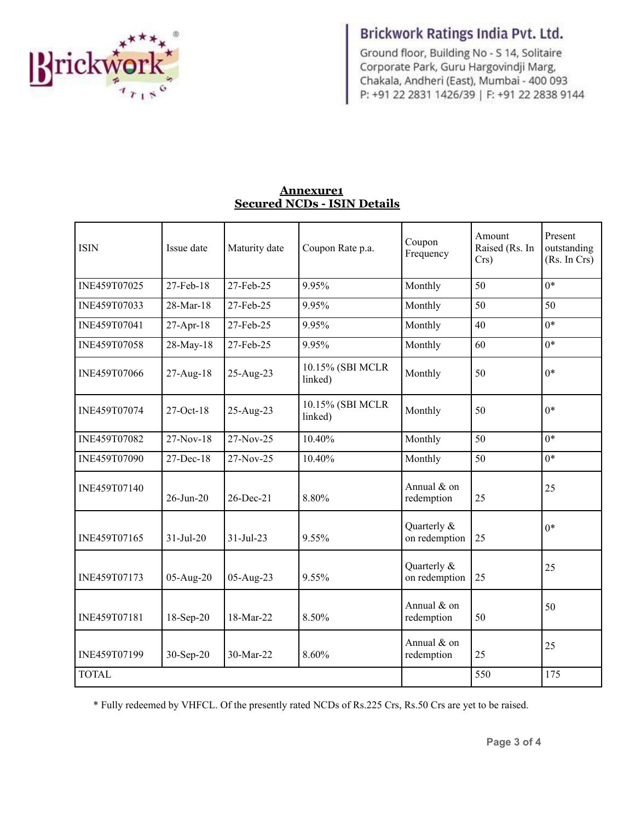

Ground floor, Building No - S 14, Solitaire Corporate Park, Guru Hargovindji Marg, Chakala, Andheri (East), Mumbai- 400 093 P: +91 22 2831 1426/39 | F: +91 22 2838 9144

### **Annexure1 Secured NCDs - ISIN Details**

| <b>ISIN</b>  | Issue date      | Maturity date | Coupon Rate p.a.            | Coupon<br>Frequency          | Amount<br>Raised (Rs. In<br>Crs) | Present<br>outstanding<br>(Rs. In Crs) |
|--------------|-----------------|---------------|-----------------------------|------------------------------|----------------------------------|----------------------------------------|
| INE459T07025 | 27-Feb-18       | 27-Feb-25     | 9.95%                       | Monthly                      | 50                               | $0*$                                   |
| INE459T07033 | 28-Mar-18       | 27-Feb-25     | 9.95%                       | Monthly                      | 50                               | 50                                     |
| INE459T07041 | 27-Apr-18       | 27-Feb-25     | 9.95%                       | Monthly                      | 40                               | $0*$                                   |
| INE459T07058 | 28-May-18       | 27-Feb-25     | 9.95%                       | Monthly                      | 60                               | $0*$                                   |
| INE459T07066 | 27-Aug-18       | 25-Aug-23     | 10.15% (SBI MCLR<br>linked) | Monthly                      | 50                               | $0*$                                   |
| INE459T07074 | $27-Oct-18$     | 25-Aug-23     | 10.15% (SBI MCLR<br>linked) | Monthly                      | 50                               | $0*$                                   |
| INE459T07082 | 27-Nov-18       | 27-Nov-25     | 10.40%                      | Monthly                      | 50                               | $0*$                                   |
| INE459T07090 | 27-Dec-18       | 27-Nov-25     | 10.40%                      | Monthly                      | 50                               | $0*$                                   |
| INE459T07140 | 26-Jun-20       | 26-Dec-21     | 8.80%                       | Annual $&$ on<br>redemption  | 25                               | 25                                     |
| INE459T07165 | $31 - Jul - 20$ | 31-Jul-23     | 9.55%                       | Quarterly &<br>on redemption | 25                               | $0*$                                   |
| INE459T07173 | 05-Aug-20       | 05-Aug-23     | 9.55%                       | Quarterly &<br>on redemption | 25                               | 25                                     |
| INE459T07181 | 18-Sep-20       | 18-Mar-22     | 8.50%                       | Annual & on<br>redemption    | 50                               | 50                                     |
| INE459T07199 | $30-Sep-20$     | 30-Mar-22     | 8.60%                       | Annual & on<br>redemption    | 25                               | 25                                     |
| <b>TOTAL</b> |                 |               |                             |                              | 550                              | 175                                    |

\* Fully redeemed by VHFCL. Of the presently rated NCDs of Rs.225 Crs, Rs.50 Crs are yet to be raised.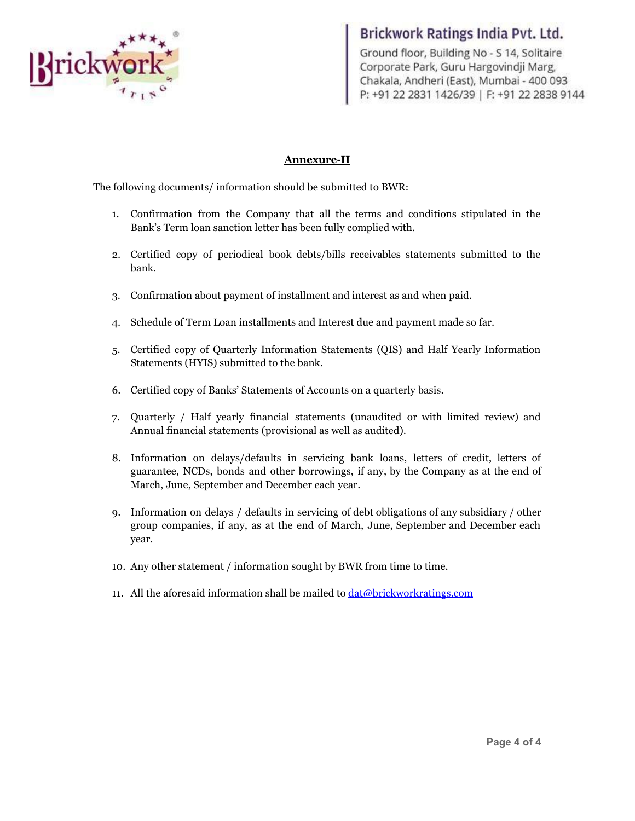

Ground floor, Building No - S 14, Solitaire Corporate Park, Guru Hargovindji Marg, Chakala, Andheri (East), Mumbai- 400 093 P: +91 22 2831 1426/39 | F: +91 22 2838 9144

### **Annexure-II**

The following documents/ information should be submitted to BWR:

- 1. Confirmation from the Company that all the terms and conditions stipulated in the Bank's Term loan sanction letter has been fully complied with.
- 2. Certified copy of periodical book debts/bills receivables statements submitted to the bank.
- 3. Confirmation about payment of installment and interest as and when paid.
- 4. Schedule of Term Loan installments and Interest due and payment made so far.
- 5. Certified copy of Quarterly Information Statements (QIS) and Half Yearly Information Statements (HYIS) submitted to the bank.
- 6. Certified copy of Banks' Statements of Accounts on a quarterly basis.
- 7. Quarterly / Half yearly financial statements (unaudited or with limited review) and Annual financial statements (provisional as well as audited).
- 8. Information on delays/defaults in servicing bank loans, letters of credit, letters of guarantee, NCDs, bonds and other borrowings, if any, by the Company as at the end of March, June, September and December each year.
- 9. Information on delays / defaults in servicing of debt obligations of any subsidiary / other group companies, if any, as at the end of March, June, September and December each year.
- 10. Any other statement / information sought by BWR from time to time.
- 11. All the aforesaid information shall be mailed to  $data\&b$  brickworkratings.com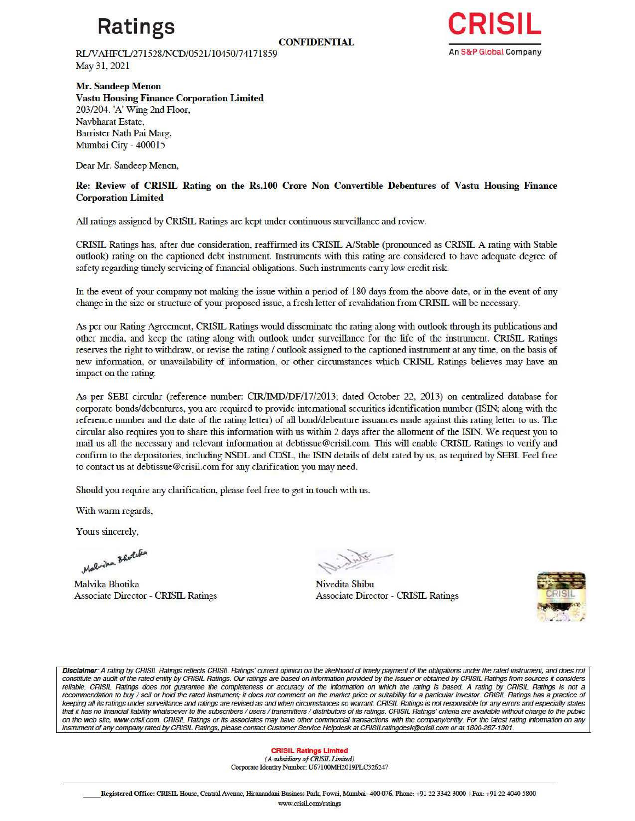# **Ratings**

**CONFIDENTIAL** 

RINAHFCL/271528/NCD/0521/10450/74171859 May 31, 2021

**Mr. Sandeep Menon** 

**Vastu Housing Finance Corporation Limited**  203/204. 'A' Wing 2nd Floor, Navbharat Estate, Barrister Nath Pai Marg, Mumbai City - 400015

Dear **Mr.** Sandeep Menon,

Re: Review of CRISIL Rating on the Rs.100 Crore Non Convertible Debentures of Vastu Housing Finance **Corporation Limited** 

All ratings assigned by CRISIL Ratings are kept under continuous surveillance and review.

CRISIL Ratings has, after due consideration, reaffinned its CRISIL A/Stable (pronounced as CRISIL A rating with Stable outlook) rating on the captioned debt instnnnent. fustruments with this rating are considered to have adequate degree of safety regarding timely servicing of financial obligations. Such instruments carry low credit risk.

In the event of your company not making the issue within a period of 180 days from the above date, or in the event of any change in the size or structure of your proposed issue, a fresh letter of revalidation from CRISIL will be necessary.

As per our Rating Agreement, CRISIL Ratings would disseminate the rating along with outlook through its publications and other media, and keep the rating along with outlook under surveillance for the life of the instrument. CRISIL Ratings reserves the right to withdraw, or revise the rating/ outlook assigned to the captioned instrument at any time, on the basis of new information, or unavailability of information, or other circumstances which CRISIL Ratings believes may have an impact on the rating.

As per SEBI circular (reference number: CIR/IMD/DF/17/2013; dated October 22, 2013) on centralized database for corporate bonds/debentures, you are required to provide international securities identification number (ISIN; along with the reference number and the date of the rating letter) of all bond/debenture issuances made against this rating letter to us. The circular also requires you to share this information with us within 2 days after the allotment of the ISIN. We request you to mail us all the necessary and relevant information at debtissue@crisil.com. This will enable CRISIL Ratings to verify and confirm to the depositories, including NSDL and CDSL, the ISIN details of debt rated by us, as required by SEBI. Feel free to contact us at debtissue@crisil.com for any clarification you may need.

Should you require any clarification, please feel free to get in touch with us.

With warm regards,

Yours sincerely,

Malvika Bhotche

Malvika Bhotika Associate Director - CRISIL Ratings

~~~~~

Nivedita Shibu Associate Director - CRISIL Ratings



Disclaimer: A rating by CRISIL Ratings reflects CRISIL Ratings' current opinion on the likelihood of timely payment of the obligations under the rated instrument, and does not<br>constitute an audit of the rated entity by CRI reliable. CRISIL Ratings does not guarantee the completeness or accuracy of the information on which the rating is based. A rating by CRISIL Ratings is not a recommendation to buy / sell or hold the rated instrument; it does not comment on the market price or suitability for a particular investor. CRISIL Ratings has a practice of keeping all its ratings under surveillance and ratings are revised as and when circumstances so warrant. CRISIL Ratings is not responsible for any errors and especially states that it has no financial liability whatsoever to the subscribers / users / transmitters / distributors of its ratings. CRISIL Ratings' criteria are available without charge to the public on the web site, www.crisil.com. CRISIL Ratings or its associates may have other commercial transactions with the company/entity. For the latest rating information on any instrument of any company rated by CRISIL Ratings, please contact Customer Service Helpdesk at CRISILratingdesk@crisil.com or at 1800-267-1301.

> **CRISIL Ratings Limited**  *(A S11.bsidiaryof CRISIL limited)*  Corporate Identity Number: U67100MH2019PLC326247

\_\_ Registered Office: CRISIL House, Central Avenue, Hiranandani Business Park, Powai, Mumbai- 400 076. Phone: +91 22 3342 3000 I Fax: +91 22 4040 5800 www.ctisil.com/ratings